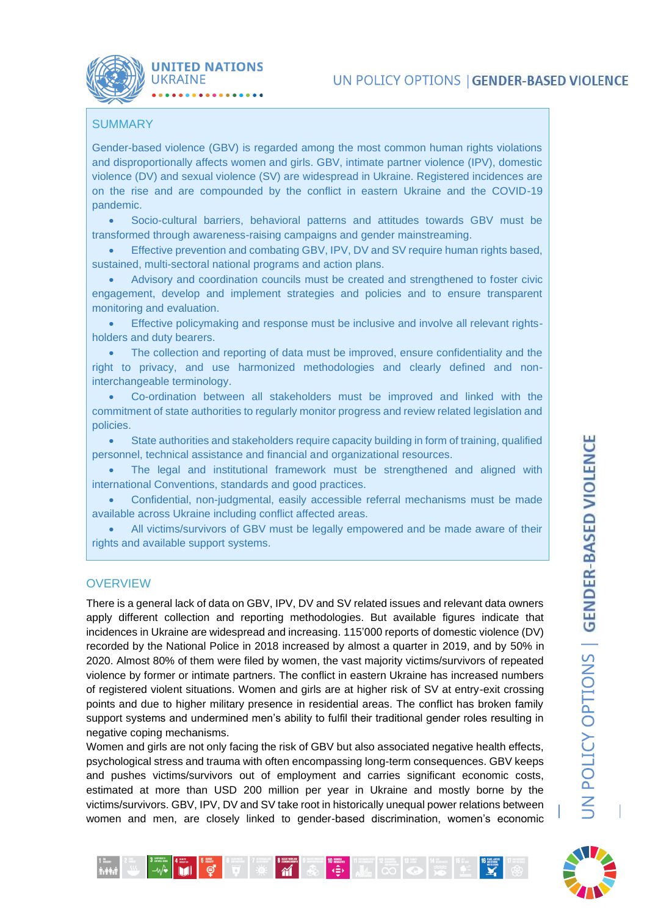## **SUMMARY**

**UNITED NATIONS** 

**UKRAINE** 

Gender-based violence (GBV) is regarded among the most common human rights violations and disproportionally affects women and girls. GBV, intimate partner violence (IPV), domestic violence (DV) and sexual violence (SV) are widespread in Ukraine. Registered incidences are on the rise and are compounded by the conflict in eastern Ukraine and the COVID-19 pandemic.

• Socio-cultural barriers, behavioral patterns and attitudes towards GBV must be transformed through awareness-raising campaigns and gender mainstreaming.

• Effective prevention and combating GBV, IPV, DV and SV require human rights based, sustained, multi-sectoral national programs and action plans.

• Advisory and coordination councils must be created and strengthened to foster civic engagement, develop and implement strategies and policies and to ensure transparent monitoring and evaluation.

• Effective policymaking and response must be inclusive and involve all relevant rightsholders and duty bearers.

The collection and reporting of data must be improved, ensure confidentiality and the right to privacy, and use harmonized methodologies and clearly defined and noninterchangeable terminology.

• Co-ordination between all stakeholders must be improved and linked with the commitment of state authorities to regularly monitor progress and review related legislation and policies.

• State authorities and stakeholders require capacity building in form of training, qualified personnel, technical assistance and financial and organizational resources.

The legal and institutional framework must be strengthened and aligned with international Conventions, standards and good practices.

• Confidential, non-judgmental, easily accessible referral mechanisms must be made available across Ukraine including conflict affected areas.

• All victims/survivors of GBV must be legally empowered and be made aware of their rights and available support systems.

## **OVERVIEW**

There is a general lack of data on GBV, IPV, DV and SV related issues and relevant data owners apply different collection and reporting methodologies. But available figures indicate that incidences in Ukraine are widespread and increasing. 115'000 reports of domestic violence (DV) recorded by the National Police in 2018 increased by almost a quarter in 2019, and by 50% in 2020. Almost 80% of them were filed by women, the vast majority victims/survivors of repeated violence by former or intimate partners. The conflict in eastern Ukraine has increased numbers of registered violent situations. Women and girls are at higher risk of SV at entry-exit crossing points and due to higher military presence in residential areas. The conflict has broken family support systems and undermined men's ability to fulfil their traditional gender roles resulting in negative coping mechanisms.

Women and girls are not only facing the risk of GBV but also associated negative health effects, psychological stress and trauma with often encompassing long-term consequences. GBV keeps and pushes victims/survivors out of employment and carries significant economic costs, estimated at more than USD 200 million per year in Ukraine and mostly borne by the victims/survivors. GBV, IPV, DV and SV take root in historically unequal power relations between women and men, are closely linked to gender-based discrimination, women's economic

**THEY REALLY AND REALLY AND REALLY AND** 

 $\overline{M}$ 

 $\begin{array}{c|c|c|c|c|c|c|c|c} \hline \textbf{1} & \textbf{1} & \textbf{1} & \textbf{1} & \textbf{1} & \textbf{1} & \textbf{1} & \textbf{1} & \textbf{1} & \textbf{1} & \textbf{1} & \textbf{1} & \textbf{1} & \textbf{1} & \textbf{1} & \textbf{1} & \textbf{1} & \textbf{1} & \textbf{1} & \textbf{1} & \textbf{1} & \textbf{1} & \textbf{1} & \textbf{1} & \textbf{1} & \textbf{1} & \textbf{1} & \textbf{1$ 

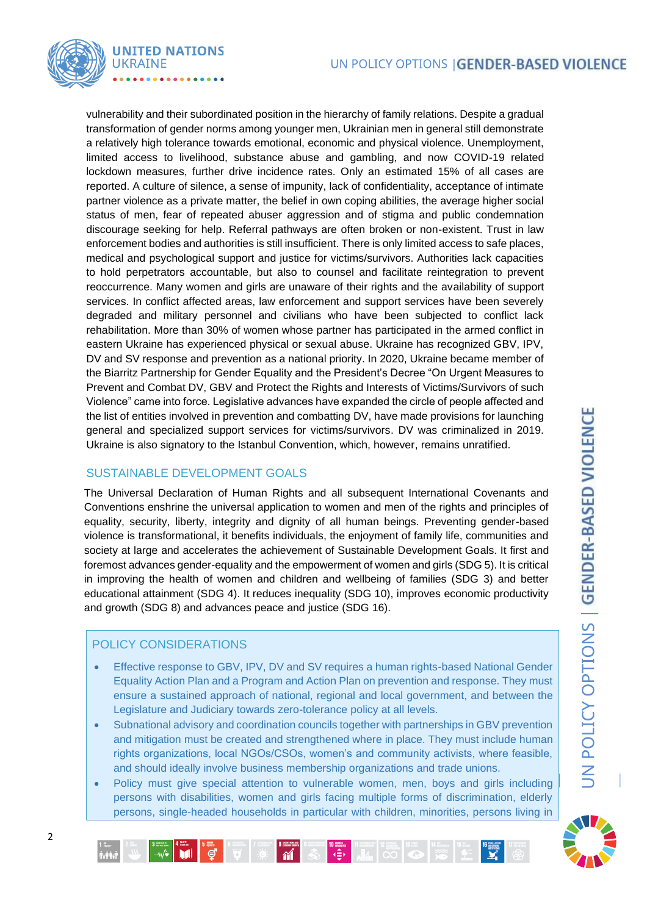

vulnerability and their subordinated position in the hierarchy of family relations. Despite a gradual transformation of gender norms among younger men, Ukrainian men in general still demonstrate a relatively high tolerance towards emotional, economic and physical violence. Unemployment, limited access to livelihood, substance abuse and gambling, and now COVID-19 related lockdown measures, further drive incidence rates. Only an estimated 15% of all cases are reported. A culture of silence, a sense of impunity, lack of confidentiality, acceptance of intimate partner violence as a private matter, the belief in own coping abilities, the average higher social status of men, fear of repeated abuser aggression and of stigma and public condemnation discourage seeking for help. Referral pathways are often broken or non-existent. Trust in law enforcement bodies and authorities is still insufficient. There is only limited access to safe places, medical and psychological support and justice for victims/survivors. Authorities lack capacities to hold perpetrators accountable, but also to counsel and facilitate reintegration to prevent reoccurrence. Many women and girls are unaware of their rights and the availability of support services. In conflict affected areas, law enforcement and support services have been severely degraded and military personnel and civilians who have been subjected to conflict lack rehabilitation. More than 30% of women whose partner has participated in the armed conflict in eastern Ukraine has experienced physical or sexual abuse. Ukraine has recognized GBV, IPV, DV and SV response and prevention as a national priority. In 2020, Ukraine became member of the Biarritz Partnership for Gender Equality and the President's Decree "On Urgent Measures to Prevent and Combat DV, GBV and Protect the Rights and Interests of Victims/Survivors of such Violence" came into force. Legislative advances have expanded the circle of people affected and the list of entities involved in prevention and combatting DV, have made provisions for launching general and specialized support services for victims/survivors. DV was criminalized in 2019. Ukraine is also signatory to the Istanbul Convention, which, however, remains unratified.

## SUSTAINABLE DEVELOPMENT GOALS

The Universal Declaration of Human Rights and all subsequent International Covenants and Conventions enshrine the universal application to women and men of the rights and principles of equality, security, liberty, integrity and dignity of all human beings. Preventing gender-based violence is transformational, it benefits individuals, the enjoyment of family life, communities and society at large and accelerates the achievement of Sustainable Development Goals. It first and foremost advances gender-equality and the empowerment of women and girls (SDG 5). It is critical in improving the health of women and children and wellbeing of families (SDG 3) and better educational attainment (SDG 4). It reduces inequality (SDG 10), improves economic productivity and growth (SDG 8) and advances peace and justice (SDG 16).

## POLICY CONSIDERATIONS

- Effective response to GBV, IPV, DV and SV requires a human rights-based National Gender Equality Action Plan and a Program and Action Plan on prevention and response. They must ensure a sustained approach of national, regional and local government, and between the Legislature and Judiciary towards zero-tolerance policy at all levels.
- Subnational advisory and coordination councils together with partnerships in GBV prevention and mitigation must be created and strengthened where in place. They must include human rights organizations, local NGOs/CSOs, women's and community activists, where feasible, and should ideally involve business membership organizations and trade unions.
- Policy must give special attention to vulnerable women, men, boys and girls including persons with disabilities, women and girls facing multiple forms of discrimination, elderly persons, single-headed households in particular with children, minorities, persons living in



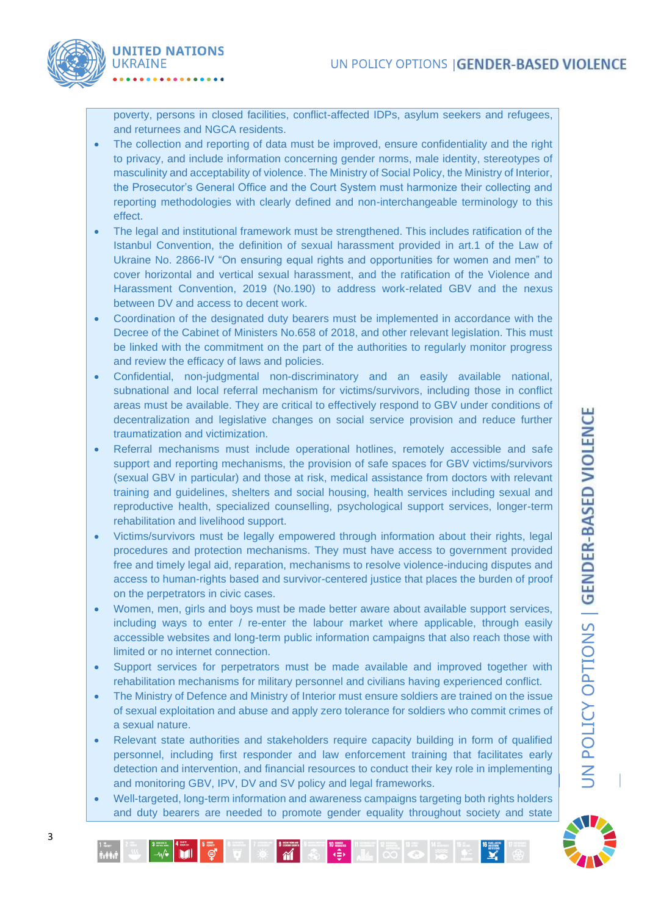

poverty, persons in closed facilities, conflict-affected IDPs, asylum seekers and refugees, and returnees and NGCA residents.

- The collection and reporting of data must be improved, ensure confidentiality and the right to privacy, and include information concerning gender norms, male identity, stereotypes of masculinity and acceptability of violence. The Ministry of Social Policy, the Ministry of Interior, the Prosecutor's General Office and the Court System must harmonize their collecting and reporting methodologies with clearly defined and non-interchangeable terminology to this effect.
- The legal and institutional framework must be strengthened. This includes ratification of the Istanbul Convention, the definition of sexual harassment provided in art.1 of the Law of Ukraine No. 2866-IV "On ensuring equal rights and opportunities for women and men" to cover horizontal and vertical sexual harassment, and the ratification of the Violence and Harassment Convention, 2019 (No.190) to address work-related GBV and the nexus between DV and access to decent work.
- Coordination of the designated duty bearers must be implemented in accordance with the Decree of the Cabinet of Ministers No.658 of 2018, and other relevant legislation. This must be linked with the commitment on the part of the authorities to regularly monitor progress and review the efficacy of laws and policies.
- Confidential, non-judgmental non-discriminatory and an easily available national, subnational and local referral mechanism for victims/survivors, including those in conflict areas must be available. They are critical to effectively respond to GBV under conditions of decentralization and legislative changes on social service provision and reduce further traumatization and victimization.
- Referral mechanisms must include operational hotlines, remotely accessible and safe support and reporting mechanisms, the provision of safe spaces for GBV victims/survivors (sexual GBV in particular) and those at risk, medical assistance from doctors with relevant training and guidelines, shelters and social housing, health services including sexual and reproductive health, specialized counselling, psychological support services, longer-term rehabilitation and livelihood support.
- Victims/survivors must be legally empowered through information about their rights, legal procedures and protection mechanisms. They must have access to government provided free and timely legal aid, reparation, mechanisms to resolve violence-inducing disputes and access to human-rights based and survivor-centered justice that places the burden of proof on the perpetrators in civic cases.
- Women, men, girls and boys must be made better aware about available support services, including ways to enter / re-enter the labour market where applicable, through easily accessible websites and long-term public information campaigns that also reach those with limited or no internet connection.
- Support services for perpetrators must be made available and improved together with rehabilitation mechanisms for military personnel and civilians having experienced conflict.
- The Ministry of Defence and Ministry of Interior must ensure soldiers are trained on the issue of sexual exploitation and abuse and apply zero tolerance for soldiers who commit crimes of a sexual nature.
- Relevant state authorities and stakeholders require capacity building in form of qualified personnel, including first responder and law enforcement training that facilitates early detection and intervention, and financial resources to conduct their key role in implementing and monitoring GBV, IPV, DV and SV policy and legal frameworks.
- Well-targeted, long-term information and awareness campaigns targeting both rights holders and duty bearers are needed to promote gender equality throughout society and state

**10 Meaning 11 Measures 12 May 13 Measures 13 Measures 13 Measures 13 Measures 13 Measures** 

 $\begin{array}{r} \mathbf{8} \xrightarrow{\text{RISINERING}} \\ \hline \text{4} \xrightarrow{\text{RISINERING}} \end{array}$ 

 $\begin{array}{c|c|c|c|c|c} \hline \textbf{3} & \textbf{4} & \textbf{5} & \textbf{6} & \textbf{6} & \textbf{7} & \textbf{8} & \textbf{8} & \textbf{8} & \textbf{9} & \textbf{9} & \textbf{10} & \textbf{10} & \textbf{10} & \textbf{10} & \textbf{10} & \textbf{10} & \textbf{10} & \textbf{10} & \textbf{10} & \textbf{10} & \textbf{10} & \textbf{10} & \textbf{10} & \textbf{10} & \textbf{10} & \textbf$